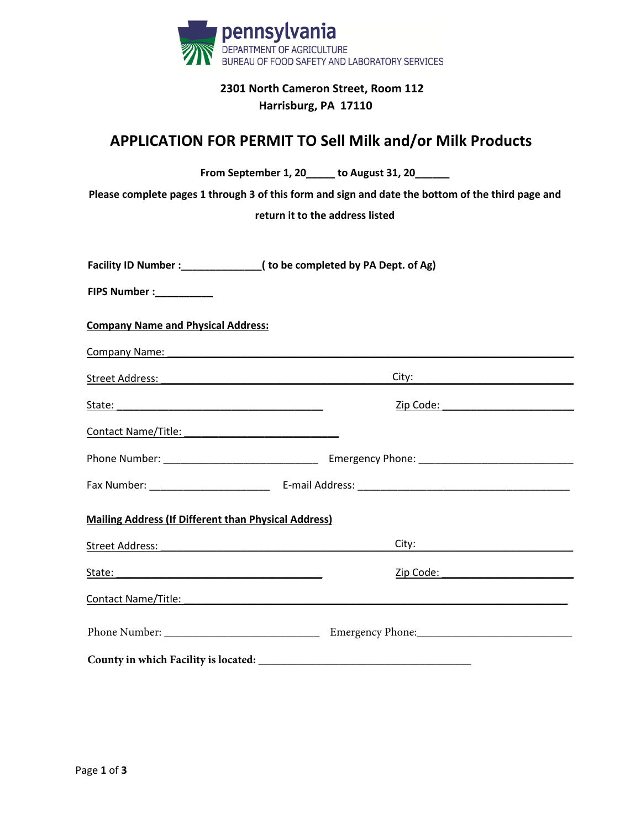

## **2301 North Cameron Street, Room 112 Harrisburg, PA 17110**

## **APPLICATION FOR PERMIT TO Sell Milk and/or Milk Products**

| From September 1, 20 _____ to August 31, 20 _____<br>Please complete pages 1 through 3 of this form and sign and date the bottom of the third page and<br>return it to the address listed                                           |                                                                                                                                                                                                                                    |  |  |  |
|-------------------------------------------------------------------------------------------------------------------------------------------------------------------------------------------------------------------------------------|------------------------------------------------------------------------------------------------------------------------------------------------------------------------------------------------------------------------------------|--|--|--|
| Facility ID Number :_______________( to be completed by PA Dept. of Ag)                                                                                                                                                             |                                                                                                                                                                                                                                    |  |  |  |
| FIPS Number :__________                                                                                                                                                                                                             |                                                                                                                                                                                                                                    |  |  |  |
| <b>Company Name and Physical Address:</b>                                                                                                                                                                                           |                                                                                                                                                                                                                                    |  |  |  |
| Company Name: Name and South Art and South Art and South Art and Art and Art and Art and Art and Art and Art and Art and Art and Art and Art and Art and Art and Art and Art and Art and Art and Art and Art and Art and Art a      |                                                                                                                                                                                                                                    |  |  |  |
|                                                                                                                                                                                                                                     |                                                                                                                                                                                                                                    |  |  |  |
| State: State: State: State: State: State: State: State: State: State: State: State: State: State: State: State: State: State: State: State: State: State: State: State: State: State: State: State: State: State: State: State      | <u>Zip Code:</u> Note: Note: Note: Note: Note: Note: Note: Note: Note: Note: Note: Note: Note: Note: Note: Note: Note: Note: Note: Note: Note: Note: Note: Note: Note: Note: Note: Note: Note: Note: Note: Note: Note: Note: Note: |  |  |  |
|                                                                                                                                                                                                                                     |                                                                                                                                                                                                                                    |  |  |  |
|                                                                                                                                                                                                                                     |                                                                                                                                                                                                                                    |  |  |  |
|                                                                                                                                                                                                                                     |                                                                                                                                                                                                                                    |  |  |  |
| <b>Mailing Address (If Different than Physical Address)</b>                                                                                                                                                                         |                                                                                                                                                                                                                                    |  |  |  |
| Street Address: The Contract of the Contract of the Contract of the Contract of the Contract of the Contract of the Contract of the Contract of the Contract of the Contract of the Contract of the Contract of the Contract o      | City: the contract of the contract of the contract of the contract of the contract of the contract of the contract of the contract of the contract of the contract of the contract of the contract of the contract of the cont     |  |  |  |
|                                                                                                                                                                                                                                     |                                                                                                                                                                                                                                    |  |  |  |
| <b>Contact Name/Title:</b> The Contact Name/Title: The Contact Name of Title: The Contact Name of Title: The Contact Name of Title: The Contact Name of Title: The Contact Name of Title: The Contact Name of Title: The Contact Na |                                                                                                                                                                                                                                    |  |  |  |
|                                                                                                                                                                                                                                     |                                                                                                                                                                                                                                    |  |  |  |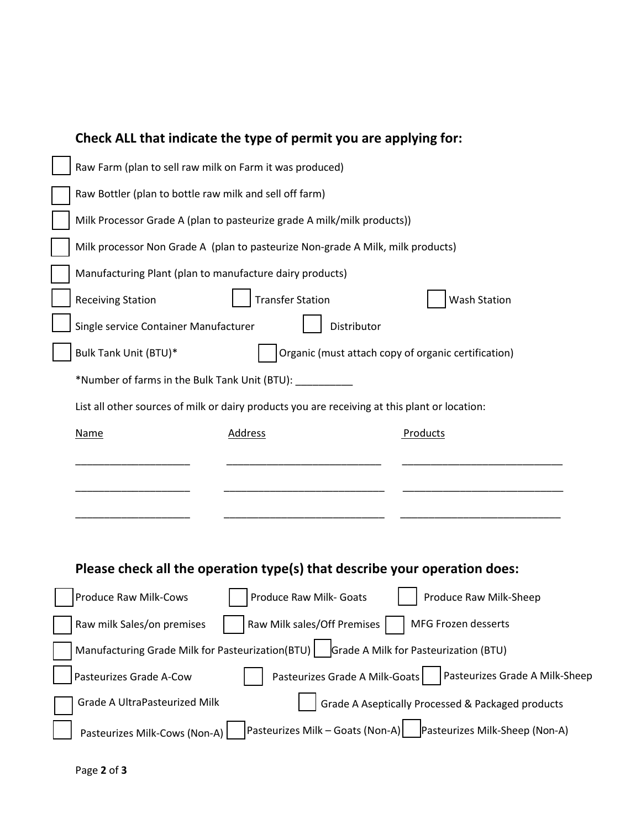|                                                                           | Check ALL that indicate the type of permit you are applying for:                              |                                  |                                                   |  |
|---------------------------------------------------------------------------|-----------------------------------------------------------------------------------------------|----------------------------------|---------------------------------------------------|--|
|                                                                           | Raw Farm (plan to sell raw milk on Farm it was produced)                                      |                                  |                                                   |  |
|                                                                           | Raw Bottler (plan to bottle raw milk and sell off farm)                                       |                                  |                                                   |  |
|                                                                           | Milk Processor Grade A (plan to pasteurize grade A milk/milk products))                       |                                  |                                                   |  |
|                                                                           | Milk processor Non Grade A (plan to pasteurize Non-grade A Milk, milk products)               |                                  |                                                   |  |
|                                                                           | Manufacturing Plant (plan to manufacture dairy products)                                      |                                  |                                                   |  |
|                                                                           | <b>Receiving Station</b>                                                                      | <b>Transfer Station</b>          | <b>Wash Station</b>                               |  |
|                                                                           | Single service Container Manufacturer<br>Distributor                                          |                                  |                                                   |  |
|                                                                           | Bulk Tank Unit (BTU)*<br>Organic (must attach copy of organic certification)                  |                                  |                                                   |  |
|                                                                           | *Number of farms in the Bulk Tank Unit (BTU): __________                                      |                                  |                                                   |  |
|                                                                           | List all other sources of milk or dairy products you are receiving at this plant or location: |                                  |                                                   |  |
|                                                                           | <b>Name</b>                                                                                   | <b>Address</b>                   | Products                                          |  |
|                                                                           |                                                                                               |                                  |                                                   |  |
|                                                                           |                                                                                               |                                  |                                                   |  |
|                                                                           |                                                                                               |                                  |                                                   |  |
|                                                                           |                                                                                               |                                  |                                                   |  |
| Please check all the operation type(s) that describe your operation does: |                                                                                               |                                  |                                                   |  |
|                                                                           | Produce Raw Milk-Cows                                                                         |                                  | Produce Raw Milk-Sheep                            |  |
|                                                                           |                                                                                               | Produce Raw Milk- Goats          |                                                   |  |
|                                                                           | Raw milk Sales/on premises                                                                    | Raw Milk sales/Off Premises      | MFG Frozen desserts                               |  |
|                                                                           | Manufacturing Grade Milk for Pasteurization(BTU)                                              |                                  | Grade A Milk for Pasteurization (BTU)             |  |
|                                                                           | Pasteurizes Grade A-Cow                                                                       | Pasteurizes Grade A Milk-Goats   | Pasteurizes Grade A Milk-Sheep                    |  |
|                                                                           | <b>Grade A UltraPasteurized Milk</b>                                                          |                                  | Grade A Aseptically Processed & Packaged products |  |
|                                                                           | Pasteurizes Milk-Cows (Non-A)                                                                 | Pasteurizes Milk - Goats (Non-A) | Pasteurizes Milk-Sheep (Non-A)                    |  |